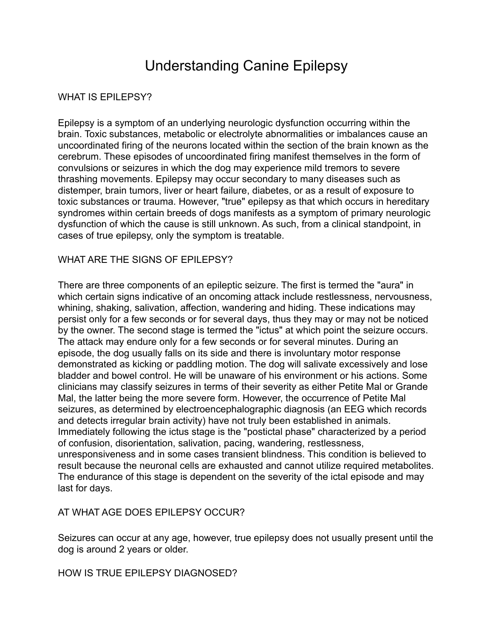# Understanding Canine Epilepsy

## WHAT IS EPILEPSY?

Epilepsy is a symptom of an underlying neurologic dysfunction occurring within the brain. Toxic substances, metabolic or electrolyte abnormalities or imbalances cause an uncoordinated firing of the neurons located within the section of the brain known as the cerebrum. These episodes of uncoordinated firing manifest themselves in the form of convulsions or seizures in which the dog may experience mild tremors to severe thrashing movements. Epilepsy may occur secondary to many diseases such as distemper, brain tumors, liver or heart failure, diabetes, or as a result of exposure to toxic substances or trauma. However, "true" epilepsy as that which occurs in hereditary syndromes within certain breeds of dogs manifests as a symptom of primary neurologic dysfunction of which the cause is still unknown. As such, from a clinical standpoint, in cases of true epilepsy, only the symptom is treatable.

#### WHAT ARE THE SIGNS OF EPILEPSY?

There are three components of an epileptic seizure. The first is termed the "aura" in which certain signs indicative of an oncoming attack include restlessness, nervousness, whining, shaking, salivation, affection, wandering and hiding. These indications may persist only for a few seconds or for several days, thus they may or may not be noticed by the owner. The second stage is termed the "ictus" at which point the seizure occurs. The attack may endure only for a few seconds or for several minutes. During an episode, the dog usually falls on its side and there is involuntary motor response demonstrated as kicking or paddling motion. The dog will salivate excessively and lose bladder and bowel control. He will be unaware of his environment or his actions. Some clinicians may classify seizures in terms of their severity as either Petite Mal or Grande Mal, the latter being the more severe form. However, the occurrence of Petite Mal seizures, as determined by electroencephalographic diagnosis (an EEG which records and detects irregular brain activity) have not truly been established in animals. Immediately following the ictus stage is the "postictal phase" characterized by a period of confusion, disorientation, salivation, pacing, wandering, restlessness, unresponsiveness and in some cases transient blindness. This condition is believed to result because the neuronal cells are exhausted and cannot utilize required metabolites. The endurance of this stage is dependent on the severity of the ictal episode and may last for days.

# AT WHAT AGE DOES EPILEPSY OCCUR?

Seizures can occur at any age, however, true epilepsy does not usually present until the dog is around 2 years or older.

HOW IS TRUE EPILEPSY DIAGNOSED?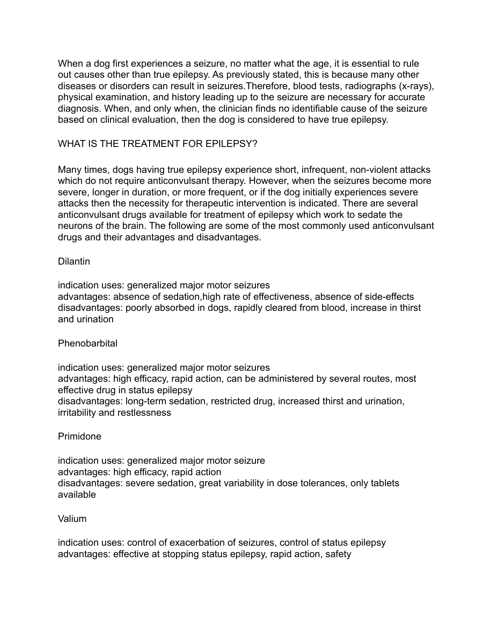When a dog first experiences a seizure, no matter what the age, it is essential to rule out causes other than true epilepsy. As previously stated, this is because many other diseases or disorders can result in seizures.Therefore, blood tests, radiographs (x-rays), physical examination, and history leading up to the seizure are necessary for accurate diagnosis. When, and only when, the clinician finds no identifiable cause of the seizure based on clinical evaluation, then the dog is considered to have true epilepsy.

## WHAT IS THE TREATMENT FOR EPILEPSY?

Many times, dogs having true epilepsy experience short, infrequent, non-violent attacks which do not require anticonvulsant therapy. However, when the seizures become more severe, longer in duration, or more frequent, or if the dog initially experiences severe attacks then the necessity for therapeutic intervention is indicated. There are several anticonvulsant drugs available for treatment of epilepsy which work to sedate the neurons of the brain. The following are some of the most commonly used anticonvulsant drugs and their advantages and disadvantages.

#### Dilantin

indication uses: generalized major motor seizures advantages: absence of sedation,high rate of effectiveness, absence of side-effects disadvantages: poorly absorbed in dogs, rapidly cleared from blood, increase in thirst and urination

#### **Phenobarbital**

indication uses: generalized major motor seizures advantages: high efficacy, rapid action, can be administered by several routes, most effective drug in status epilepsy disadvantages: long-term sedation, restricted drug, increased thirst and urination, irritability and restlessness

#### Primidone

indication uses: generalized major motor seizure advantages: high efficacy, rapid action disadvantages: severe sedation, great variability in dose tolerances, only tablets available

#### Valium

indication uses: control of exacerbation of seizures, control of status epilepsy advantages: effective at stopping status epilepsy, rapid action, safety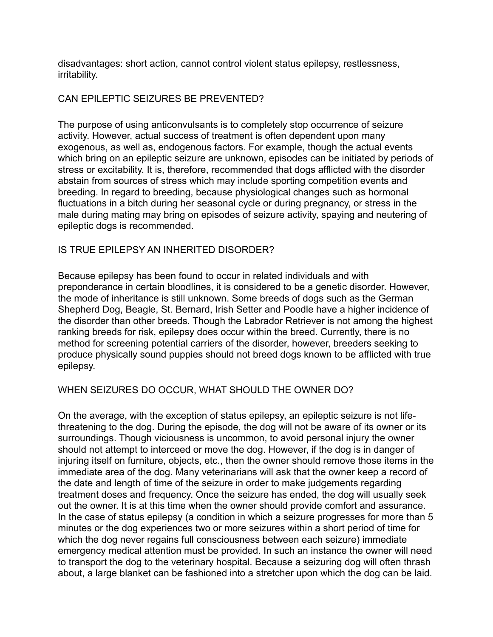disadvantages: short action, cannot control violent status epilepsy, restlessness, irritability.

## CAN EPILEPTIC SEIZURES BE PREVENTED?

The purpose of using anticonvulsants is to completely stop occurrence of seizure activity. However, actual success of treatment is often dependent upon many exogenous, as well as, endogenous factors. For example, though the actual events which bring on an epileptic seizure are unknown, episodes can be initiated by periods of stress or excitability. It is, therefore, recommended that dogs afflicted with the disorder abstain from sources of stress which may include sporting competition events and breeding. In regard to breeding, because physiological changes such as hormonal fluctuations in a bitch during her seasonal cycle or during pregnancy, or stress in the male during mating may bring on episodes of seizure activity, spaying and neutering of epileptic dogs is recommended.

## IS TRUE EPILEPSY AN INHERITED DISORDER?

Because epilepsy has been found to occur in related individuals and with preponderance in certain bloodlines, it is considered to be a genetic disorder. However, the mode of inheritance is still unknown. Some breeds of dogs such as the German Shepherd Dog, Beagle, St. Bernard, Irish Setter and Poodle have a higher incidence of the disorder than other breeds. Though the Labrador Retriever is not among the highest ranking breeds for risk, epilepsy does occur within the breed. Currently, there is no method for screening potential carriers of the disorder, however, breeders seeking to produce physically sound puppies should not breed dogs known to be afflicted with true epilepsy.

#### WHEN SEIZURES DO OCCUR, WHAT SHOULD THE OWNER DO?

On the average, with the exception of status epilepsy, an epileptic seizure is not lifethreatening to the dog. During the episode, the dog will not be aware of its owner or its surroundings. Though viciousness is uncommon, to avoid personal injury the owner should not attempt to interceed or move the dog. However, if the dog is in danger of injuring itself on furniture, objects, etc., then the owner should remove those items in the immediate area of the dog. Many veterinarians will ask that the owner keep a record of the date and length of time of the seizure in order to make judgements regarding treatment doses and frequency. Once the seizure has ended, the dog will usually seek out the owner. It is at this time when the owner should provide comfort and assurance. In the case of status epilepsy (a condition in which a seizure progresses for more than 5 minutes or the dog experiences two or more seizures within a short period of time for which the dog never regains full consciousness between each seizure) immediate emergency medical attention must be provided. In such an instance the owner will need to transport the dog to the veterinary hospital. Because a seizuring dog will often thrash about, a large blanket can be fashioned into a stretcher upon which the dog can be laid.